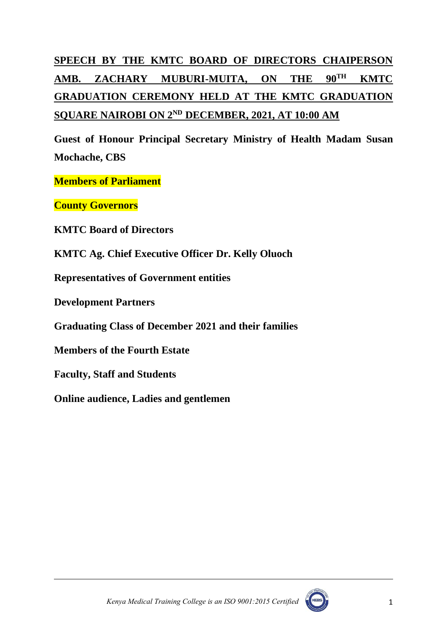# **SPEECH BY THE KMTC BOARD OF DIRECTORS CHAIPERSON AMB. ZACHARY MUBURI-MUITA, ON THE 90TH KMTC GRADUATION CEREMONY HELD AT THE KMTC GRADUATION SQUARE NAIROBI ON 2 ND DECEMBER, 2021, AT 10:00 AM**

**Guest of Honour Principal Secretary Ministry of Health Madam Susan Mochache, CBS**

**Members of Parliament**

**County Governors**

**KMTC Board of Directors**

**KMTC Ag. Chief Executive Officer Dr. Kelly Oluoch**

**Representatives of Government entities**

**Development Partners**

**Graduating Class of December 2021 and their families**

**Members of the Fourth Estate**

**Faculty, Staff and Students**

**Online audience, Ladies and gentlemen**

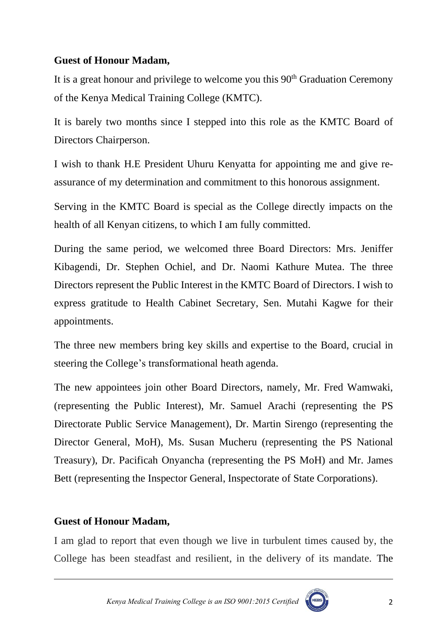## **Guest of Honour Madam,**

It is a great honour and privilege to welcome you this  $90<sup>th</sup>$  Graduation Ceremony of the Kenya Medical Training College (KMTC).

It is barely two months since I stepped into this role as the KMTC Board of Directors Chairperson.

I wish to thank H.E President Uhuru Kenyatta for appointing me and give reassurance of my determination and commitment to this honorous assignment.

Serving in the KMTC Board is special as the College directly impacts on the health of all Kenyan citizens, to which I am fully committed.

During the same period, we welcomed three Board Directors: Mrs. Jeniffer Kibagendi, Dr. Stephen Ochiel, and Dr. Naomi Kathure Mutea. The three Directors represent the Public Interest in the KMTC Board of Directors. I wish to express gratitude to Health Cabinet Secretary, Sen. Mutahi Kagwe for their appointments.

The three new members bring key skills and expertise to the Board, crucial in steering the College's transformational heath agenda.

The new appointees join other Board Directors, namely, Mr. Fred Wamwaki, (representing the Public Interest), Mr. Samuel Arachi (representing the PS Directorate Public Service Management), Dr. Martin Sirengo (representing the Director General, MoH), Ms. Susan Mucheru (representing the PS National Treasury), Dr. Pacificah Onyancha (representing the PS MoH) and Mr. James Bett (representing the Inspector General, Inspectorate of State Corporations).

## **Guest of Honour Madam,**

I am glad to report that even though we live in turbulent times caused by, the College has been steadfast and resilient, in the delivery of its mandate. The



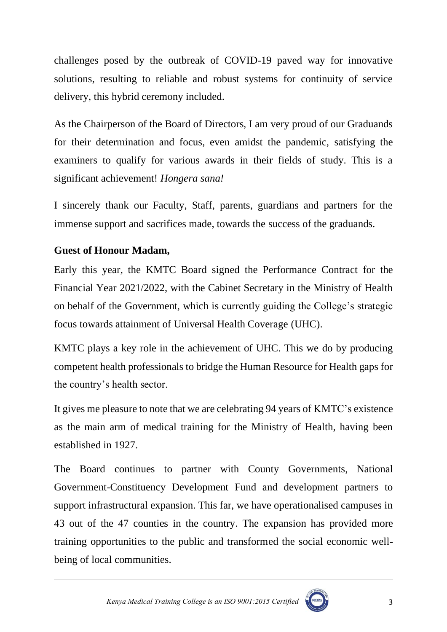challenges posed by the outbreak of COVID-19 paved way for innovative solutions, resulting to reliable and robust systems for continuity of service delivery, this hybrid ceremony included.

As the Chairperson of the Board of Directors, I am very proud of our Graduands for their determination and focus, even amidst the pandemic, satisfying the examiners to qualify for various awards in their fields of study. This is a significant achievement! *Hongera sana!*

I sincerely thank our Faculty, Staff, parents, guardians and partners for the immense support and sacrifices made, towards the success of the graduands.

# **Guest of Honour Madam,**

Early this year, the KMTC Board signed the Performance Contract for the Financial Year 2021/2022, with the Cabinet Secretary in the Ministry of Health on behalf of the Government, which is currently guiding the College's strategic focus towards attainment of Universal Health Coverage (UHC).

KMTC plays a key role in the achievement of UHC. This we do by producing competent health professionals to bridge the Human Resource for Health gaps for the country's health sector.

It gives me pleasure to note that we are celebrating 94 years of KMTC's existence as the main arm of medical training for the Ministry of Health, having been established in 1927.

The Board continues to partner with County Governments, National Government-Constituency Development Fund and development partners to support infrastructural expansion. This far, we have operationalised campuses in 43 out of the 47 counties in the country. The expansion has provided more training opportunities to the public and transformed the social economic wellbeing of local communities.



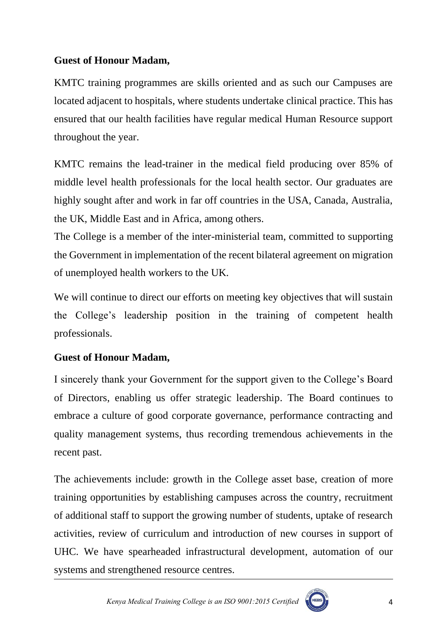# **Guest of Honour Madam,**

KMTC training programmes are skills oriented and as such our Campuses are located adjacent to hospitals, where students undertake clinical practice. This has ensured that our health facilities have regular medical Human Resource support throughout the year.

KMTC remains the lead-trainer in the medical field producing over 85% of middle level health professionals for the local health sector. Our graduates are highly sought after and work in far off countries in the USA, Canada, Australia, the UK, Middle East and in Africa, among others.

The College is a member of the inter-ministerial team, committed to supporting the Government in implementation of the recent bilateral agreement on migration of unemployed health workers to the UK.

We will continue to direct our efforts on meeting key objectives that will sustain the College's leadership position in the training of competent health professionals.

# **Guest of Honour Madam,**

I sincerely thank your Government for the support given to the College's Board of Directors, enabling us offer strategic leadership. The Board continues to embrace a culture of good corporate governance, performance contracting and quality management systems, thus recording tremendous achievements in the recent past.

The achievements include: growth in the College asset base, creation of more training opportunities by establishing campuses across the country, recruitment of additional staff to support the growing number of students, uptake of research activities, review of curriculum and introduction of new courses in support of UHC. We have spearheaded infrastructural development, automation of our systems and strengthened resource centres.

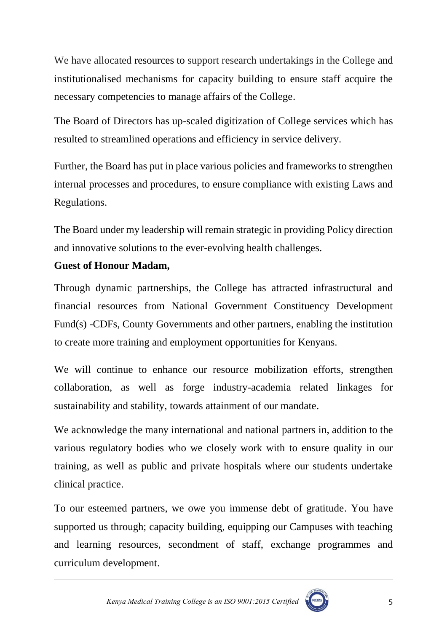We have allocated resources to support research undertakings in the College and institutionalised mechanisms for capacity building to ensure staff acquire the necessary competencies to manage affairs of the College.

The Board of Directors has up-scaled digitization of College services which has resulted to streamlined operations and efficiency in service delivery.

Further, the Board has put in place various policies and frameworks to strengthen internal processes and procedures, to ensure compliance with existing Laws and Regulations.

The Board under my leadership will remain strategic in providing Policy direction and innovative solutions to the ever-evolving health challenges.

#### **Guest of Honour Madam,**

Through dynamic partnerships, the College has attracted infrastructural and financial resources from National Government Constituency Development Fund(s) -CDFs, County Governments and other partners, enabling the institution to create more training and employment opportunities for Kenyans.

We will continue to enhance our resource mobilization efforts, strengthen collaboration, as well as forge industry-academia related linkages for sustainability and stability, towards attainment of our mandate.

We acknowledge the many international and national partners in, addition to the various regulatory bodies who we closely work with to ensure quality in our training, as well as public and private hospitals where our students undertake clinical practice.

To our esteemed partners, we owe you immense debt of gratitude. You have supported us through; capacity building, equipping our Campuses with teaching and learning resources, secondment of staff, exchange programmes and curriculum development.

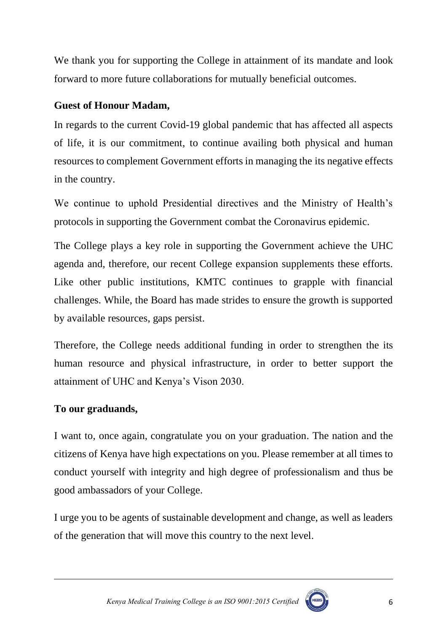We thank you for supporting the College in attainment of its mandate and look forward to more future collaborations for mutually beneficial outcomes.

#### **Guest of Honour Madam,**

In regards to the current Covid-19 global pandemic that has affected all aspects of life, it is our commitment, to continue availing both physical and human resources to complement Government efforts in managing the its negative effects in the country.

We continue to uphold Presidential directives and the Ministry of Health's protocols in supporting the Government combat the Coronavirus epidemic.

The College plays a key role in supporting the Government achieve the UHC agenda and, therefore, our recent College expansion supplements these efforts. Like other public institutions, KMTC continues to grapple with financial challenges. While, the Board has made strides to ensure the growth is supported by available resources, gaps persist.

Therefore, the College needs additional funding in order to strengthen the its human resource and physical infrastructure, in order to better support the attainment of UHC and Kenya's Vison 2030.

## **To our graduands,**

I want to, once again, congratulate you on your graduation. The nation and the citizens of Kenya have high expectations on you. Please remember at all times to conduct yourself with integrity and high degree of professionalism and thus be good ambassadors of your College.

I urge you to be agents of sustainable development and change, as well as leaders of the generation that will move this country to the next level.